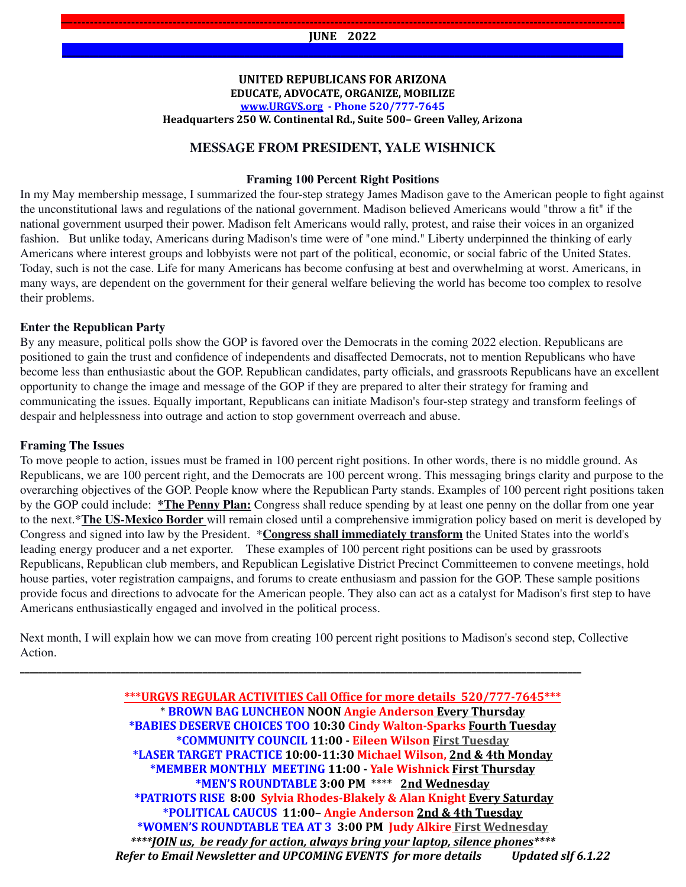**—------------------------------------------------------------------------------------------------------------------------------------- JUNE 2022 \_\_\_\_\_\_\_\_\_\_\_\_\_\_\_\_\_\_\_\_\_\_\_\_\_\_\_\_\_\_\_\_\_\_\_\_\_\_\_\_\_\_\_\_\_\_\_\_\_\_\_\_\_\_\_\_\_\_\_\_\_\_\_\_\_\_\_\_\_\_\_\_\_\_\_\_\_\_\_\_\_\_\_\_\_\_\_\_\_\_\_\_\_\_\_\_\_\_\_\_\_\_\_\_\_\_\_\_\_\_\_\_\_\_\_\_\_\_\_\_\_\_\_**

#### **UNITED REPUBLICANS FOR ARIZONA EDUCATE, ADVOCATE, ORGANIZE, MOBILIZE [www.URGVS.org](http://www.urgvs.org/) - Phone 520/777-7645 Headquarters 250 W. Continental Rd., Suite 500– Green Valley, Arizona**

## **MESSAGE FROM PRESIDENT, YALE WISHNICK**

#### **Framing 100 Percent Right Positions**

In my May membership message, I summarized the four-step strategy James Madison gave to the American people to fight against the unconstitutional laws and regulations of the national government. Madison believed Americans would "throw a fit" if the national government usurped their power. Madison felt Americans would rally, protest, and raise their voices in an organized fashion. But unlike today, Americans during Madison's time were of "one mind." Liberty underpinned the thinking of early Americans where interest groups and lobbyists were not part of the political, economic, or social fabric of the United States. Today, such is not the case. Life for many Americans has become confusing at best and overwhelming at worst. Americans, in many ways, are dependent on the government for their general welfare believing the world has become too complex to resolve their problems.

#### **Enter the Republican Party**

By any measure, political polls show the GOP is favored over the Democrats in the coming 2022 election. Republicans are positioned to gain the trust and confidence of independents and disaffected Democrats, not to mention Republicans who have become less than enthusiastic about the GOP. Republican candidates, party officials, and grassroots Republicans have an excellent opportunity to change the image and message of the GOP if they are prepared to alter their strategy for framing and communicating the issues. Equally important, Republicans can initiate Madison's four-step strategy and transform feelings of despair and helplessness into outrage and action to stop government overreach and abuse.

#### **Framing The Issues**

To move people to action, issues must be framed in 100 percent right positions. In other words, there is no middle ground. As Republicans, we are 100 percent right, and the Democrats are 100 percent wrong. This messaging brings clarity and purpose to the overarching objectives of the GOP. People know where the Republican Party stands. Examples of 100 percent right positions taken by the GOP could include: **\*The Penny Plan:** Congress shall reduce spending by at least one penny on the dollar from one year to the next.\***The US-Mexico Border** will remain closed until a comprehensive immigration policy based on merit is developed by Congress and signed into law by the President. \***Congress shall immediately transform** the United States into the world's leading energy producer and a net exporter. These examples of 100 percent right positions can be used by grassroots Republicans, Republican club members, and Republican Legislative District Precinct Committeemen to convene meetings, hold house parties, voter registration campaigns, and forums to create enthusiasm and passion for the GOP. These sample positions provide focus and directions to advocate for the American people. They also can act as a catalyst for Madison's first step to have Americans enthusiastically engaged and involved in the political process.

Next month, I will explain how we can move from creating 100 percent right positions to Madison's second step, Collective Action.

**\_\_\_\_\_\_\_\_\_\_\_\_\_\_\_\_\_\_\_\_\_\_\_\_\_\_\_\_\_\_\_\_\_\_\_\_\_\_\_\_\_\_\_\_\_\_\_\_\_\_\_\_\_\_\_\_\_\_\_\_\_\_\_\_\_\_\_\_\_\_\_\_\_\_\_\_\_\_\_\_\_\_\_\_\_\_\_\_\_\_\_\_\_\_\_\_\_\_\_\_\_\_\_\_\_\_\_\_\_\_\_\_\_\_\_\_\_\_\_\_\_\_\_**

**\*\*\*URGVS REGULAR ACTIVITIES Call Office for more details 520/777-7645\*\*\*** \* **BROWN BAG LUNCHEON NOON Angie Anderson Every Thursday \*BABIES DESERVE CHOICES TOO 10:30 Cindy Walton-Sparks Fourth Tuesday \*COMMUNITY COUNCIL 11:00 - Eileen Wilson First Tuesday \*LASER TARGET PRACTICE 10:00-11:30 Michael Wilson, 2nd & 4th Monday \*MEMBER MONTHLY MEETING 11:00 - Yale Wishnick First Thursday \*MEN'S ROUNDTABLE 3:00 PM** \*\*\*\* **2nd Wednesday \*PATRIOTS RISE 8:00 Sylvia Rhodes-Blakely & Alan Knight Every Saturday \*POLITICAL CAUCUS 11:00**– **Angie Anderson 2nd & 4th Tuesday \*WOMEN'S ROUNDTABLE TEA AT 3 3:00 PM Judy Alkire First Wednesday** *\*\*\*\*JOIN us, be ready for action, always bring your laptop, silence phones\*\*\*\* Refer to Email Newsletter and UPCOMING EVENTS for more details Updated slf 6.1.22*